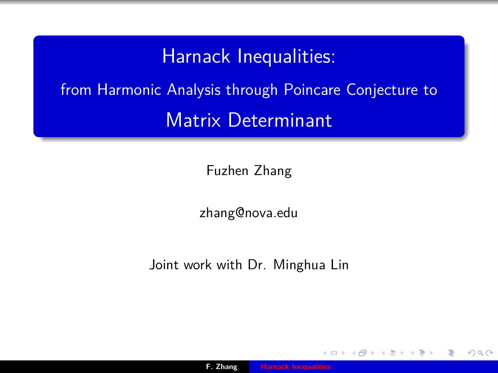### Harnack Inequalities:

<span id="page-0-0"></span>from Harmonic Analysis through Poincare Conjecture to Matrix Determinant

Fuzhen Zhang

zhang@nova.edu

Joint work with Dr. Minghua Lin

つくい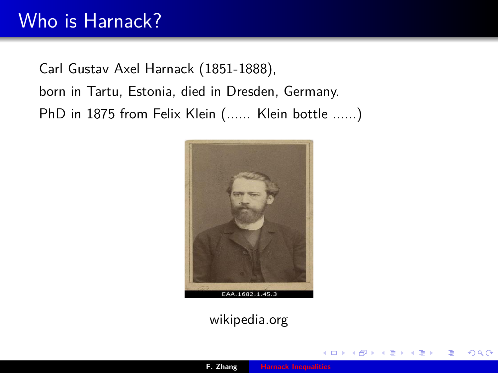## Who is Harnack?

Carl Gustav Axel Harnack (1851-1888), born in Tartu, Estonia, died in Dresden, Germany. PhD in 1875 from Felix Klein (...... Klein bottle ......)



wikipedia.org

 $2Q$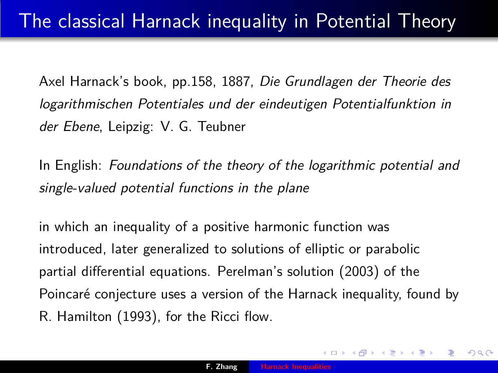Axel Harnack's book, pp.158, 1887, Die Grundlagen der Theorie des logarithmischen Potentiales und der eindeutigen Potentialfunktion in der Ebene, Leipzig: V. G. Teubner

In English: Foundations of the theory of the logarithmic potential and single-valued potential functions in the plane

in which an inequality of a positive harmonic function was introduced, later generalized to solutions of elliptic or parabolic partial differential equations. Perelman's solution (2003) of the Poincaré conjecture uses a version of the Harnack inequality, found by R. Hamilton (1993), for the Ricci flow.

つくへ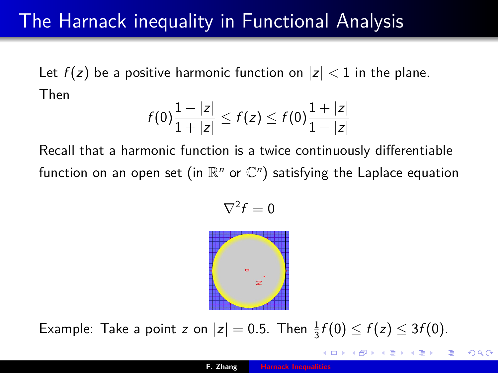## The Harnack inequality in Functional Analysis

Let  $f(z)$  be a positive harmonic function on  $|z| < 1$  in the plane. Then

$$
f(0)\frac{1-|z|}{1+|z|} \leq f(z) \leq f(0)\frac{1+|z|}{1-|z|}
$$

Recall that a harmonic function is a twice continuously differentiable function on an open set (in  $\mathbb{R}^n$  or  $\mathbb{C}^n)$  satisfying the Laplace equation

$$
\nabla^2 f=0
$$



Example: Take a point z on  $|z|=0.5$ . Then  $\frac{1}{3}f(0) \le f(z) \le 3f(0)$ .

つくい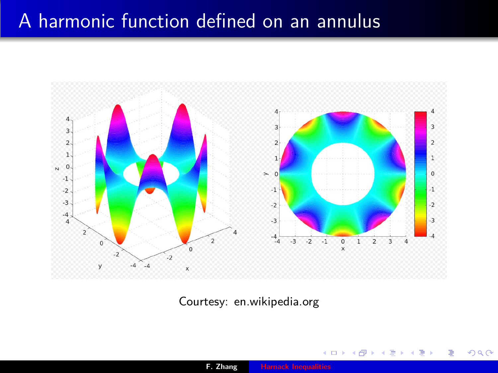### A harmonic function defined on an annulus



Courtesy: en.wikipedia.org

 $2Q$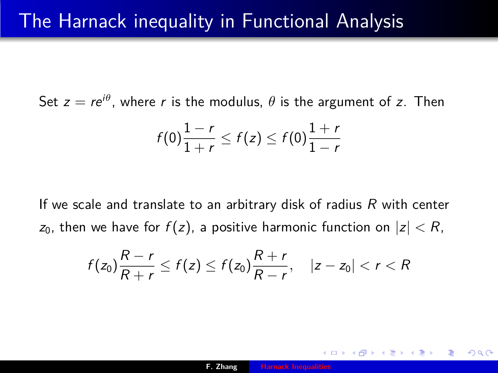Set  $z=re^{i\theta}$ , where  $r$  is the modulus,  $\theta$  is the argument of  $z$ . Then

$$
f(0)\frac{1-r}{1+r}\leq f(z)\leq f(0)\frac{1+r}{1-r}
$$

If we scale and translate to an arbitrary disk of radius  $R$  with center  $z_0$ , then we have for  $f(z)$ , a positive harmonic function on  $|z| < R$ ,

$$
f(z_0)\frac{R-r}{R+r}\leq f(z)\leq f(z_0)\frac{R+r}{R-r},\quad |z-z_0|
$$

つへへ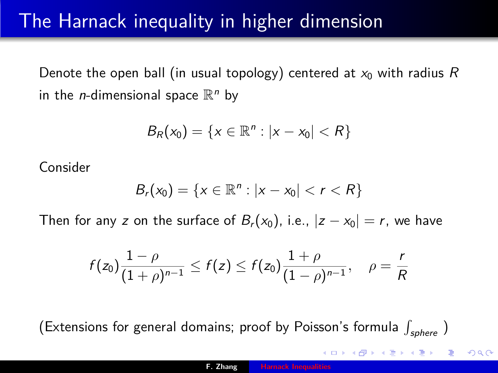### The Harnack inequality in higher dimension

Denote the open ball (in usual topology) centered at  $x_0$  with radius R in the *n*-dimensional space  $\mathbb{R}^n$  by

$$
B_R(x_0) = \{x \in \mathbb{R}^n : |x - x_0| < R\}
$$

Consider

$$
B_r(x_0) = \{x \in \mathbb{R}^n : |x - x_0| < r < R\}
$$

Then for any z on the surface of  $B_r(x_0)$ , i.e.,  $|z-x_0|=r$ , we have

$$
f(z_0)\frac{1-\rho}{(1+\rho)^{n-1}}\leq f(z)\leq f(z_0)\frac{1+\rho}{(1-\rho)^{n-1}},\quad \rho=\frac{r}{R}
$$

(Extensions for general domains; proof by Poisson's formula  $\int_{sphere}$  )

 $2Q$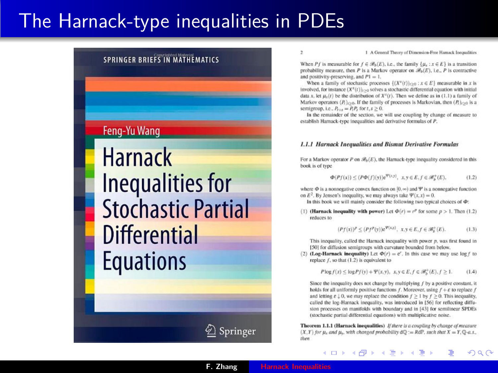### The Harnack-type inequalities in PDEs

#### **SPRINGER RRIFFS IN MATHEMATICS**

Feng-Yu Wang

**Harnack Inequalities for Stochastic Partial Differential Equations** 

 $\overline{z}$ 

1 A General Theory of Dimension-Free Hamack Inconstities

When Pf is measurable for  $f \in \mathcal{B}_h(E)$ , i.e., the family  $\{u_t : x \in E\}$  is a transition probability measure, then P is a Markov operator on  $\mathcal{B}_n(E)$ , i.e., P is contractive and positivity-preserving, and  $P1 = 1$ .

When a family of stochastic processes  $\{(X^{\tau}(t))_{t>0} : x \in E\}$  measurable in x is involved, for instance  $(X^x(t))_{t>0}$  solves a stochastic differential equation with initial data x, let  $u_n(t)$  be the distribution of  $X^2(t)$ . Then we define as in (1.1) a family of Markov operators  $(P_1)_{0,0}$ . If the family of processes is Markovian, then  $(P_1)_{0,0}$  is a semieroup, i.e.,  $P_{xx} = P.P$ , for  $t, s \ge 0$ .

In the remainder of the section, we will use coupling by change of measure to establish Harnack-type inequalities and derivative formulas of P.

#### 1.1.1 Harnack Inequalities and Bismut Derivative Formulas

For a Markov operator P on  $\mathcal{B}_{h}(E)$ , the Harnack-type inequality considered in this book is of type

$$
\Phi(Pf(x)) \le (P\Phi(f)(y))e^{\Psi(x,y)}, \quad x, y \in E, f \in \mathcal{B}_h^+(E),\tag{1.2}
$$

where  $\Phi$  is a nonnegative convex function on  $[0, \infty)$  and  $\Psi$  is a nonnegative function on  $E^2$ . By Jensen's inequality, we may always take  $\Psi(x, x) = 0$ .

In this book we will mainly consider the following two typical choices of  $\Phi$ :

(1) (Harnack inequality with power) Let  $\Phi(r) = r^p$  for some  $p > 1$ . Then (1.2) reduces to

$$
(Pf(x))^p \le (Pf^p(y))e^{\Psi(x,y)}, \ x, y \in E, f \in \mathcal{B}_b^+(E). \tag{1.3}
$$

This inequality, called the Harnack inequality with power  $p$ , was first found in [50] for diffusion semigroups with curvature bounded from below.

(2) (Log-Harnack inequality) Let  $\Phi(r) = e^r$ . In this case we may use  $\log f$  to replace  $f$ , so that  $(1.2)$  is equivalent to

> $P \log f(x) \leq \log P f(y) + \Psi(x, y), x, y \in E, f \in \mathcal{B}_{h}^{+}(E), f \geq 1.$  $(1.4)$

Since the inequality does not change by multiplying  $f$  by a positive constant, it holds for all uniformly positive functions f. Moreover, using  $f + \varepsilon$  to replace f and letting  $\varepsilon \downarrow 0$ , we may replace the condition  $f \ge 1$  by  $f \ge 0$ . This inequality, called the log-Harnack inequality, was introduced in [56] for reflecting diffusion processes on manifolds with boundary and in [43] for semilinear SPDEs (stochastic partial differential equations) with multiplicative noise.

Theorem 1.1.1 (Harnack inequalities) If there is a coupling by change of measure  $(X, Y)$  for  $\mu_x$  and  $\mu_y$ , with changed probability  $dQ := RdP$ , such that  $X = Y, Q-a.s.$ then

つへへ

∢ロ ▶ ∢ 御 ▶ ∢ ヨ ▶ ∢ ヨ ▶

'⁄ Springer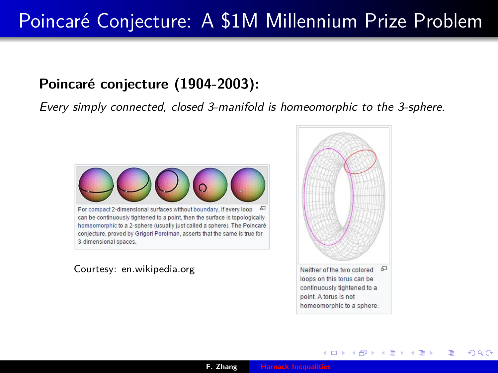## Poincaré Conjecture: A \$1M Millennium Prize Problem

### **Poincaré conjecture (1904-2003):**

Every simply connected, closed 3-manifold is homeomorphic to the 3-sphere.



Courtesy: en.wikipedia.org



メロメ メ御 メメミメメミメ

 $\Omega$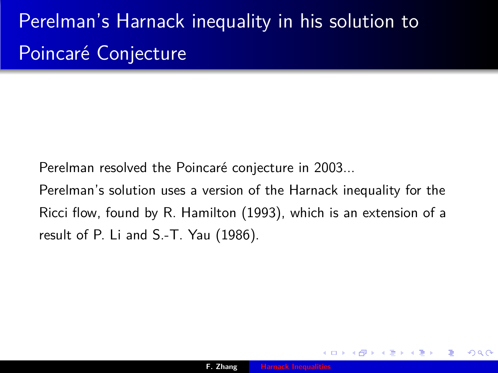# Perelman's Harnack inequality in his solution to Poincaré Conjecture

Perelman resolved the Poincaré conjecture in 2003...

Perelman's solution uses a version of the Harnack inequality for the Ricci flow, found by R. Hamilton (1993), which is an extension of a result of P. Li and S.-T. Yau (1986).

つくい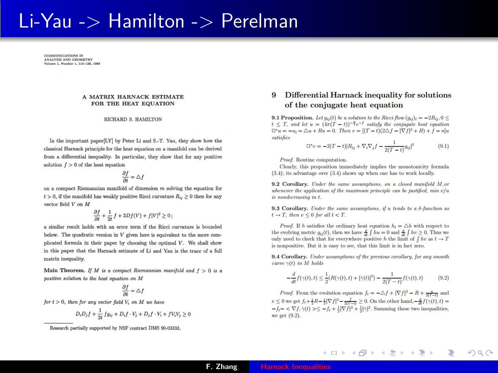### Li-Yau -> Hamilton -> Perelman

COMMUNICATIONS IN **COMMUNICATIONS IN**<br>ANALYSIS AND GEOMETRY **ANALTSIS AND GEOMETRY**<br>Volume 1, Number 1, 113-126, 1993

#### A MATRIX HARNACK ESTIMATE FOR THE HEAT EQUATION

#### **RICHARD S. HAMILTON**

In the important paper[LY] by Peter Li and S.-T. Yau, they show how the classical Harnack principle for the heat equation on a manifold can be derived from a differential inequality. In particular, they show that for any positive solution  $f > 0$  of the heat equation

$$
\frac{\partial f}{\partial t}=\triangle f
$$

on a compact Riemannian manifold of dimension  $m$  solving the equation for  $t > 0$ , if the manifold has weakly positive Ricci curvature  $R_{ii} \geq 0$  then for any vector field V on M

$$
\frac{\partial f}{\partial t} + \frac{1}{2t} f + 2Df(V) + f|V|^2 \ge 0
$$
;

a similar result holds with an error term if the Ricci curvature is hounded below. The quadratic version in  $V$  given here is equivalent to the more complicated formula in their paper by choosing the optimal  $V$ . We shall show in this paper that the Harnack estimate of Li and Yau is the trace of a full matrix inequality.

Main Theorem. If M is a compact Riemannian manifold and  $f > 0$  is a positive solution to the heat equation on M

$$
\frac{\partial f}{\partial t}=\triangle f
$$

for  $t > 0$ , then for any vector field  $V_i$  on M we have

$$
D_i D_j f + \frac{1}{2t} f g_{ij} + D_i f \cdot V_j + D_j f \cdot V_i + f V_i V_j \ge 0
$$

#### Differential Harnack inequality for solutions of the conjugate heat equation

9.1 Proposition. Let  $a_n(t)$  be a solution to the Bicci flow  $(a_n)_t = -2B_{xx}$ ,  $0 \le$  $t \leq T$ , and let  $u = (4\pi(T - t))^{-\frac{n}{2}}e^{-f}$  satisfy the conjugate heat equation  $\Box^* u = -u_t - \triangle u + Ru = 0.$  Then  $v = [(T - t)(2\triangle f - |\nabla f|^2 + R) + f - n]u$ satisfies

$$
\Box^* v = -2(T-t)|R_{ij} + \nabla_i \nabla_j f - \frac{1}{2(T-t)} g_{ij}|^2 \tag{9.1}
$$

Proof. Routine computation.

Clearly, this proposition immediately implies the monotonicity formula  $(3.4)$ ; its advantage over  $(3.4)$  shows up when one has to work locally.

9.2 Corollary. Under the same assumptions, on a closed manifold M.or whenever the application of the maximum principle can be justified,  $min n/u$ is nondecreasing in t.

9.3 Corollary. Under the same assumptions, if u tends to a  $\delta$ -function as  $t \rightarrow T$ , then  $v \leq 0$  for all  $t \leq T$ .

*Proof.* If h satisfies the ordinary heat equation  $h_t = \Delta h$  with respect to the evolving metric  $a_{ii}(t)$ , then we have  $\frac{d}{dt} \int h u = 0$  and  $\frac{d}{dt} \int h v \ge 0$ . Thus we only need to check that for everywhere positive h the limit of  $\int hv$  as  $t \to T$ is nonpositive. But it is easy to see, that this limit is in fact zero.

9.4 Corollary. Under assumptions of the previous corollary, for any smooth curve  $\gamma(t)$  in M holds

$$
-\frac{d}{dt}f(\gamma(t),t) \le \frac{1}{2}(R(\gamma(t),t) + |\dot{\gamma}(t)|^2) - \frac{1}{2(T-t)}f(\gamma(t),t)
$$
(9.2)

メロメ メ倒 メメ ミメメ ヨメ

 $\Omega$ 

*Proof.* From the evolution equation  $f_t = -\Delta f + |\nabla f|^2 - R + \frac{n}{nT-1}$  and  $v \leq 0$  we get  $f_t + \frac{1}{2}R - \frac{1}{2}|\nabla f|^2 - \frac{f}{2(f-1)} \geq 0$ . On the other hand,  $-\frac{d}{dt}f(\gamma(t), t) =$  $-f_t - \langle \nabla f, \dot{\gamma}(t) \rangle \leq -f_t + \frac{1}{2} |\nabla f|^2 + \frac{1}{2} |\dot{\gamma}|^2$ . Summing these two inequalities, we get (9.2).

Research partially supported by NSF contract DMS 90-03333.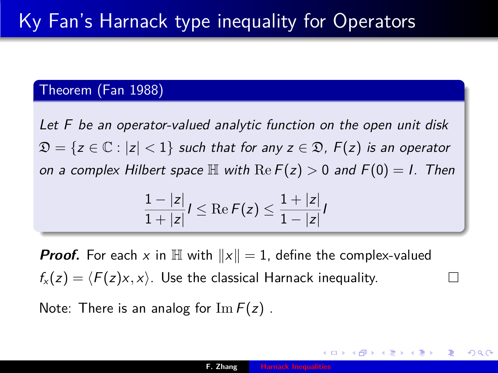#### Theorem (Fan 1988)

Let F be an operator-valued analytic function on the open unit disk  $\mathfrak{D} = \{z \in \mathbb{C} : |z| < 1\}$  such that for any  $z \in \mathfrak{D}$ ,  $F(z)$  is an operator on a complex Hilbert space  $\mathbb H$  with  $\text{Re } F(z) > 0$  and  $F(0) = I$ . Then

$$
\frac{1-|z|}{1+|z|}I \leq \text{Re}\, F(z) \leq \frac{1+|z|}{1-|z|}I
$$

**Proof.** For each x in  $\mathbb{H}$  with  $||x|| = 1$ , define the complex-valued  $f_{x}(z) = \langle F(z)x, x \rangle$ . Use the classical Harnack inequality.

Note: There is an analog for  $\text{Im } F(z)$ .

つくへ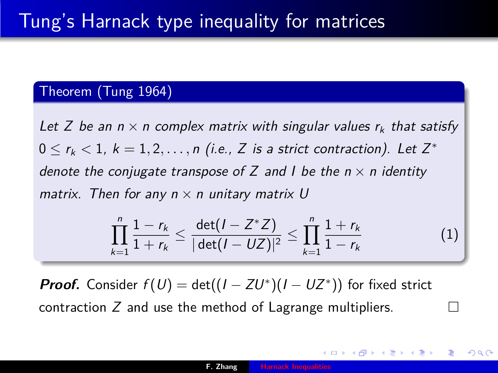#### Theorem (Tung 1964)

Let Z be an  $n \times n$  complex matrix with singular values  $r_k$  that satisfy  $0 \le r_k < 1, k = 1, 2, \ldots, n$  (i.e., Z is a strict contraction). Let  $Z^*$ denote the conjugate transpose of Z and I be the  $n \times n$  identity matrix. Then for any  $n \times n$  unitary matrix U

$$
\prod_{k=1}^{n} \frac{1-r_k}{1+r_k} \leq \frac{\det(I - Z^*Z)}{|\det(I - UZ)|^2} \leq \prod_{k=1}^{n} \frac{1+r_k}{1-r_k}
$$
(1)

**Proof.** Consider  $f(U) = det((I - ZU^*)(I - UZ^*))$  for fixed strict contraction Z and use the method of Lagrange multipliers.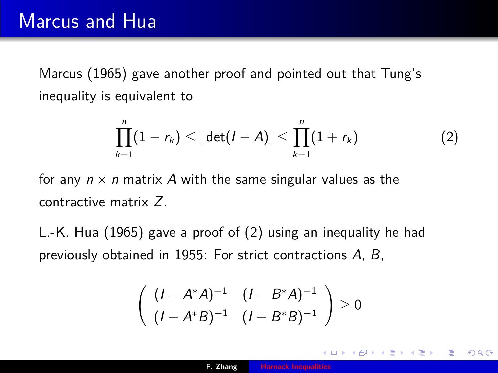Marcus (1965) gave another proof and pointed out that Tung's inequality is equivalent to

$$
\prod_{k=1}^{n}(1-r_k)\leq |\det(I-A)|\leq \prod_{k=1}^{n}(1+r_k)
$$
 (2)

for any  $n \times n$  matrix A with the same singular values as the contractive matrix Z.

L.-K. Hua (1965) gave a proof of (2) using an inequality he had previously obtained in 1955: For strict contractions A, B,

$$
\left(\begin{array}{cc} (I - A^*A)^{-1} & (I - B^*A)^{-1} \\ (I - A^*B)^{-1} & (I - B^*B)^{-1} \end{array}\right) \ge 0
$$

つくい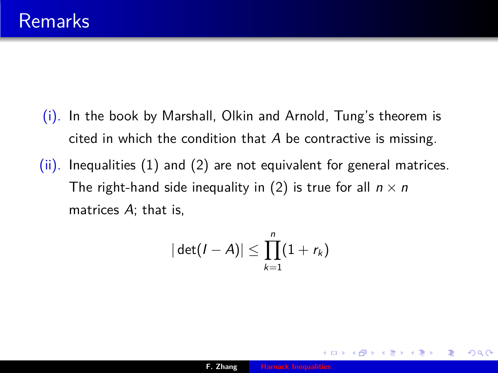- (i). In the book by Marshall, Olkin and Arnold, Tung's theorem is cited in which the condition that A be contractive is missing.
- (ii). Inequalities (1) and (2) are not equivalent for general matrices. The right-hand side inequality in (2) is true for all  $n \times n$ matrices  $A$ ; that is,

$$
|\det(I-A)|\leq \prod_{k=1}^n(1+r_k)
$$

 $2Q$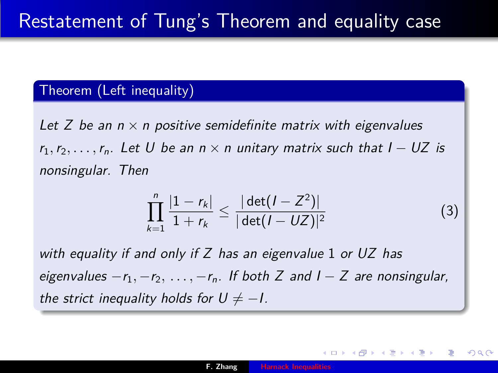### Theorem (Left inequality)

Let Z be an  $n \times n$  positive semidefinite matrix with eigenvalues  $r_1, r_2, \ldots, r_n$ . Let U be an  $n \times n$  unitary matrix such that  $I - UZ$  is nonsingular. Then

$$
\prod_{k=1}^{n} \frac{|1 - r_k|}{1 + r_k} \le \frac{|\det(I - Z^2)|}{|\det(I - UZ)|^2}
$$
(3)

つくへ

with equality if and only if  $Z$  has an eigenvalue 1 or UZ has eigenvalues −r<sub>1</sub>, −r<sub>2</sub>, ..., −r<sub>n</sub>. If both Z and I − Z are nonsingular, the strict inequality holds for  $U \neq -1$ .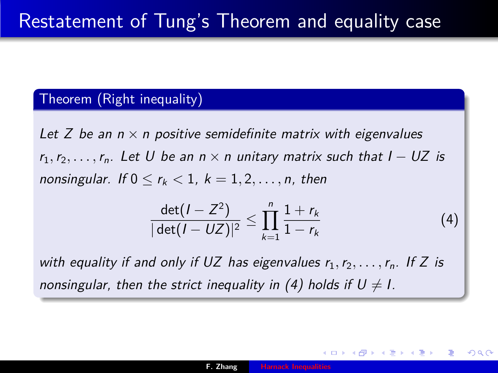#### Theorem (Right inequality)

Let Z be an  $n \times n$  positive semidefinite matrix with eigenvalues  $r_1, r_2, \ldots, r_n$ . Let U be an  $n \times n$  unitary matrix such that  $I - UZ$  is nonsingular. If  $0 \le r_k < 1$ ,  $k = 1, 2, \ldots, n$ , then

$$
\frac{\det(I - Z^2)}{|\det(I - UZ)|^2} \le \prod_{k=1}^n \frac{1 + r_k}{1 - r_k} \tag{4}
$$

with equality if and only if UZ has eigenvalues  $r_1, r_2, \ldots, r_n$ . If Z is nonsingular, then the strict inequality in (4) holds if  $U \neq I$ .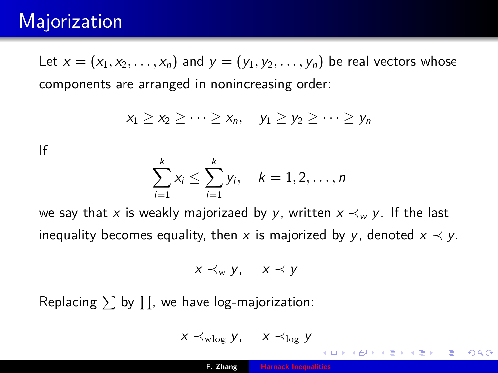### **Majorization**

Let  $x = (x_1, x_2, \ldots, x_n)$  and  $y = (y_1, y_2, \ldots, y_n)$  be real vectors whose components are arranged in nonincreasing order:

$$
x_1 \geq x_2 \geq \cdots \geq x_n, \quad y_1 \geq y_2 \geq \cdots \geq y_n
$$

If

$$
\sum_{i=1}^k x_i \leq \sum_{i=1}^k y_i, \quad k=1,2,\ldots,n
$$

we say that x is weakly majorizaed by y, written  $x \prec_w y$ . If the last inequality becomes equality, then x is majorized by y, denoted  $x \prec y$ .

$$
x \prec_{\mathrm{w}} y, \quad x \prec y
$$

Replacing  $\sum$  by  $\prod$ , we have log-majorization:

$$
x\prec_{\mathrm{wlog}} y,\quad x\prec_{\mathrm{log}} y
$$

つくへ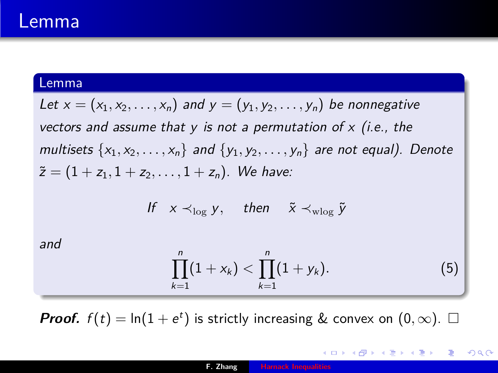### Lemma

#### Lemma

Let  $x = (x_1, x_2, \ldots, x_n)$  and  $y = (y_1, y_2, \ldots, y_n)$  be nonnegative vectors and assume that  $y$  is not a permutation of  $x$  (i.e., the multisets  $\{x_1, x_2, \ldots, x_n\}$  and  $\{y_1, y_2, \ldots, y_n\}$  are not equal). Denote  $\tilde{z} = (1 + z_1, 1 + z_2, \ldots, 1 + z_n).$  We have:

$$
\text{If} \quad x \prec_{\log} y, \quad \text{then} \quad \tilde{x} \prec_{\text{wlog}} \tilde{y}
$$

and

$$
\prod_{k=1}^n (1+x_k) < \prod_{k=1}^n (1+y_k). \tag{5}
$$

→ 伊 ▶ → ヨ ▶ → ヨ ▶ │ ヨ

 $2Q$ 

**Proof.**  $f(t) = \ln(1 + e^t)$  is strictly increasing & convex on  $(0, \infty)$ .  $\Box$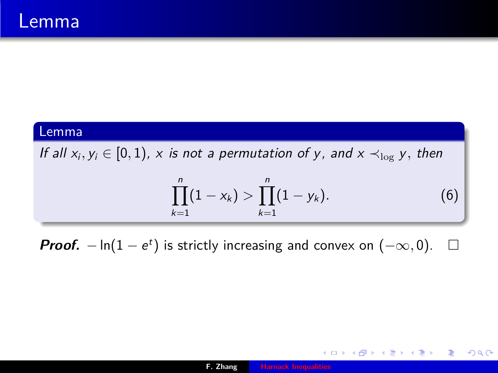#### Lemma

If all  $x_i, y_i \in [0,1)$ , x is not a permutation of y, and  $x \prec_{\log} y$ , then

$$
\prod_{k=1}^{n}(1-x_k) > \prod_{k=1}^{n}(1-y_k).
$$
 (6)

K ロ ▶ K 御 ▶ K ヨ ▶ K ヨ ▶ │ ヨ |

 $2Q$ 

**Proof.**  $-\ln(1-e^t)$  is strictly increasing and convex on  $(-\infty,0)$ . □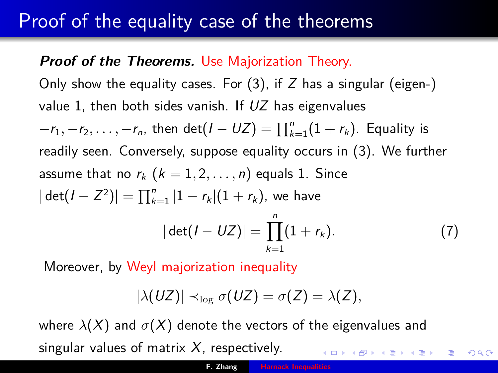### Proof of the equality case of the theorems

### **Proof of the Theorems.** Use Majorization Theory.

Only show the equality cases. For  $(3)$ , if Z has a singular (eigen-) value 1, then both sides vanish. If  $UZ$  has eigenvalues  $-r_1, -r_2, \ldots, -r_n$ , then  $\det(I - UZ) = \prod_{k=1}^n (1 + r_k)$ . Equality is readily seen. Conversely, suppose equality occurs in (3). We further assume that no  $r_k$   $(k = 1, 2, \ldots, n)$  equals 1. Since  $|\det(I - Z^2)| = \prod_{k=1}^n |1 - r_k|(1 + r_k)$ , we have  $|\det(I - UZ)| = \prod_{k=1}^{n} (1 + r_k).$  (7)

 $k=1$ Moreover, by Weyl majorization inequality

$$
|\lambda(UZ)| \prec_{\log} \sigma(UZ) = \sigma(Z) = \lambda(Z),
$$

where  $\lambda(X)$  and  $\sigma(X)$  denote the vectors of the eigenvalues and singular values of matrix  $X$ , respectively. ロト イ団 トイヨ トイヨ トー

 $2Q$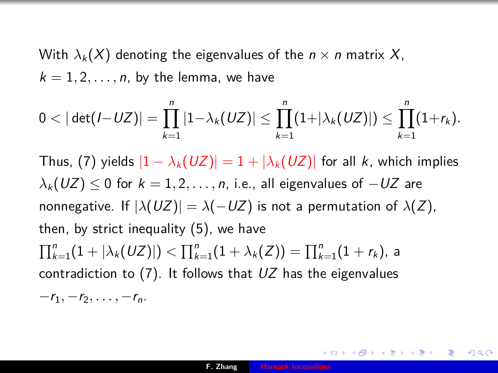With  $\lambda_k(X)$  denoting the eigenvalues of the  $n \times n$  matrix X,  $k = 1, 2, \ldots, n$ , by the lemma, we have

$$
0 < |\det(I-UZ)| = \prod_{k=1}^n |1-\lambda_k(UZ)| \leq \prod_{k=1}^n (1+|\lambda_k(UZ)|) \leq \prod_{k=1}^n (1+r_k).
$$

Thus, (7) yields  $|1 - \lambda_k(UZ)| = 1 + |\lambda_k(UZ)|$  for all k, which implies  $\lambda_k (UZ) \leq 0$  for  $k = 1, 2, \ldots, n$ , i.e., all eigenvalues of  $-UZ$  are nonnegative. If  $|\lambda(UZ)| = \lambda(-UZ)$  is not a permutation of  $\lambda(Z)$ , then, by strict inequality (5), we have  $\prod_{k=1}^n (1+|\lambda_k(UZ)|)<\prod_{k=1}^n (1+\lambda_k(Z))=\prod_{k=1}^n (1+r_k),$  a contradiction to  $(7)$ . It follows that  $UZ$  has the eigenvalues  $-r_1, -r_2, \ldots, -r_n$ .

 $200$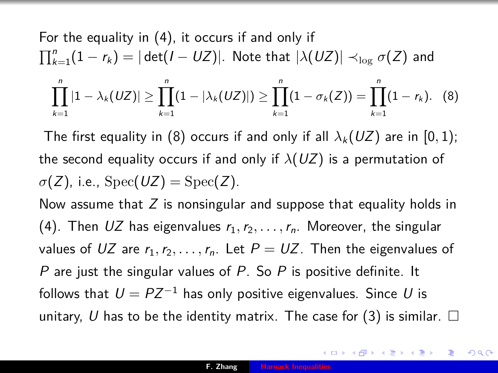For the equality in (4), it occurs if and only if  
\n
$$
\prod_{k=1}^{n} (1 - r_k) = |\det(I - UZ)|
$$
\nNote that  $|\lambda(UZ)| \prec_{\log} \sigma(Z)$  and\n
$$
\prod_{k=1}^{n} |1 - \lambda_k(UZ)| \ge \prod_{k=1}^{n} (1 - |\lambda_k(UZ)|) \ge \prod_{k=1}^{n} (1 - \sigma_k(Z)) = \prod_{k=1}^{n} (1 - r_k).
$$
\n(8)

The first equality in (8) occurs if and only if all  $\lambda_k (UZ)$  are in [0, 1); the second equality occurs if and only if  $\lambda(UZ)$  is a permutation of  $\sigma(Z)$ , i.e.,  $Spec(UZ) = Spec(Z)$ .

Now assume that  $Z$  is nonsingular and suppose that equality holds in (4). Then  $UZ$  has eigenvalues  $r_1, r_2, \ldots, r_n$ . Moreover, the singular values of UZ are  $r_1, r_2, \ldots, r_n$ . Let  $P = UZ$ . Then the eigenvalues of P are just the singular values of P. So P is positive definite. It follows that  $U = PZ^{-1}$  has only positive eigenvalues. Since U is unitary, U has to be the identity matrix. The case for (3) is similar.  $\Box$ 

つへへ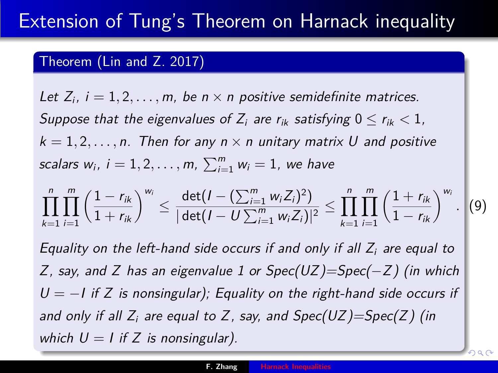### <span id="page-23-0"></span>Theorem (Lin and Z. 2017)

Let  $Z_i$ ,  $i = 1, 2, \ldots, m$ , be  $n \times n$  positive semidefinite matrices. Suppose that the eigenvalues of  $Z_i$  are  $r_{ik}$  satisfying  $0 \le r_{ik} \le 1$ .  $k = 1, 2, \ldots, n$ . Then for any  $n \times n$  unitary matrix U and positive scalars  $w_i$ ,  $i = 1, 2, \ldots, m$ ,  $\sum_{i=1}^{m} w_i = 1$ , we have

$$
\prod_{k=1}^n \prod_{i=1}^m \left( \frac{1-r_{ik}}{1+r_{ik}} \right)^{w_i} \leq \frac{\det(I-(\sum_{i=1}^m w_i Z_i)^2)}{|\det(I-U\sum_{i=1}^m w_i Z_i)|^2} \leq \prod_{k=1}^n \prod_{i=1}^m \left( \frac{1+r_{ik}}{1-r_{ik}} \right)^{w_i}.
$$

*.* (9)

つへへ

Equality on the left-hand side occurs if and only if all  $Z_i$  are equal to Z, say, and Z has an eigenvalue 1 or  $Spec(UZ)=Spec(-Z)$  (in which  $U = -I$  if Z is nonsingular); Equality on the right-hand side occurs if and only if all  $Z_i$  are equal to Z, say, and  $Spec(UZ)=Spec(Z)$  (in which  $U = I$  if Z is nonsingular).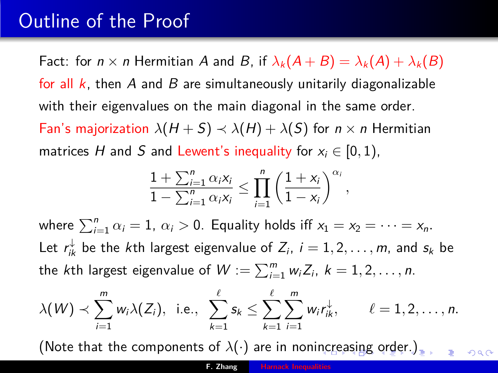### Outline of the Proof

Fact: for  $n \times n$  Hermitian A and B, if  $\lambda_k(A + B) = \lambda_k(A) + \lambda_k(B)$ for all  $k$ , then A and B are simultaneously unitarily diagonalizable with their eigenvalues on the main diagonal in the same order. Fan's majorization  $\lambda(H + S) \prec \lambda(H) + \lambda(S)$  for  $n \times n$  Hermitian matrices H and S and Lewent's inequality for  $x_i \in [0, 1)$ ,

$$
\frac{1+\sum_{i=1}^n \alpha_i x_i}{1-\sum_{i=1}^n \alpha_i x_i} \leq \prod_{i=1}^n \left(\frac{1+x_i}{1-x_i}\right)^{\alpha_i},
$$

where  $\sum_{i=1}^{n} \alpha_i = 1$ ,  $\alpha_i > 0$ . Equality holds iff  $x_1 = x_2 = \cdots = x_n$ . Let  $r_{ik}^{\downarrow}$  be the *k*th largest eigenvalue of  $Z_i$ ,  $i = 1, 2, \ldots, m$ , and  $s_k$  be the *k*th largest eigenvalue of  $W := \sum_{i=1}^m w_i Z_i, \ k = 1, 2, \ldots, n$ .

$$
\lambda(W) \prec \sum_{i=1}^m w_i \lambda(Z_i), \text{ i.e., } \sum_{k=1}^{\ell} s_k \leq \sum_{k=1}^{\ell} \sum_{i=1}^m w_i r_{ik}^{\downarrow}, \qquad \ell=1,2,\ldots,n.
$$

(Note that the components of  $\lambda(\cdot)$  are in noni[nc](#page-23-0)r[easing order.\)](#page-0-0).

 $290$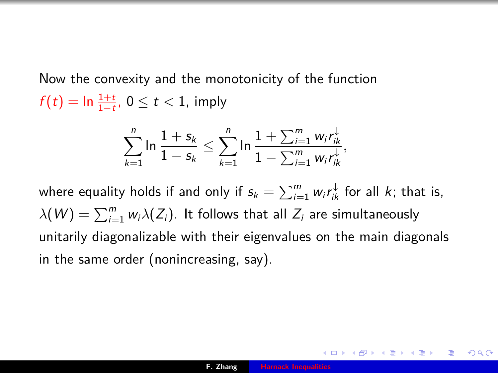Now the convexity and the monotonicity of the function  $f(t) = \ln \frac{1+t}{1-t}$ ,  $0 \leq t < 1$ , imply

$$
\sum_{k=1}^n \ln \frac{1+s_k}{1-s_k} \leq \sum_{k=1}^n \ln \frac{1+\sum_{i=1}^m w_i r_{ik}^{\downarrow}}{1-\sum_{i=1}^m w_i r_{ik}^{\downarrow}},
$$

where equality holds if and only if  $s_k = \sum_{i=1}^m w_i r_{ik}^\downarrow$  for all  $k$ ; that is,  $\lambda(W) = \sum_{i=1}^m w_i\lambda(Z_i)$ . It follows that all  $Z_i$  are simultaneously unitarily diagonalizable with their eigenvalues on the main diagonals in the same order (nonincreasing, say).

つくい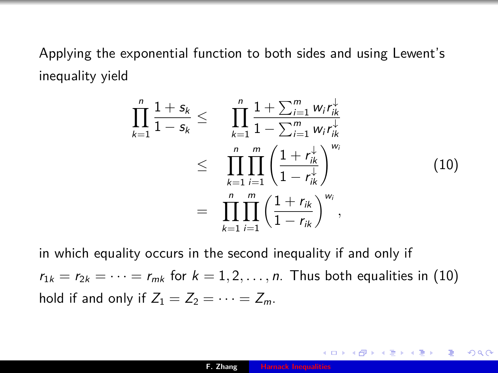<span id="page-26-0"></span>Applying the exponential function to both sides and using Lewent's inequality yield

$$
\prod_{k=1}^{n} \frac{1+s_k}{1-s_k} \leq \prod_{k=1}^{n} \frac{1+\sum_{i=1}^{m} w_i r_{ik}^{\downarrow}}{1-\sum_{i=1}^{m} w_i r_{ik}^{\downarrow}}
$$
\n
$$
\leq \prod_{k=1}^{n} \prod_{i=1}^{m} \left( \frac{1+r_{ik}^{\downarrow}}{1-r_{ik}^{\downarrow}} \right)^{w_i}
$$
\n
$$
= \prod_{k=1}^{n} \prod_{i=1}^{m} \left( \frac{1+r_{ik}}{1-r_{ik}} \right)^{w_i}, \qquad (10)
$$

in which equality occurs in the second inequality if and only if  $r_{1k} = r_{2k} = \cdots = r_{mk}$  for  $k = 1, 2, \ldots, n$ . Thus both equalities in (10) hold if and only if  $Z_1 = Z_2 = \cdots = Z_m$ .

 $2Q$ 

∢ ロ ▶ 《 御 ▶ 《 重 ▶ 《 重 ▶ 》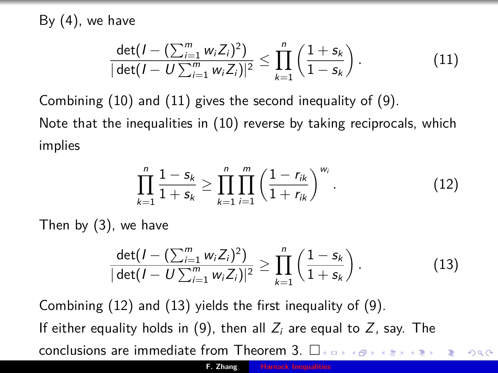By  $(4)$ , we have

$$
\frac{\det(I - (\sum_{i=1}^{m} w_i Z_i)^2)}{|\det(I - U \sum_{i=1}^{m} w_i Z_i)|^2} \le \prod_{k=1}^{n} \left(\frac{1 + s_k}{1 - s_k}\right).
$$
\n(11)

Combining (10) and (11) gives the second inequality of (9).

Note that the inequalities in (10) reverse by taking reciprocals, which implies

$$
\prod_{k=1}^{n} \frac{1-s_k}{1+s_k} \geq \prod_{k=1}^{n} \prod_{i=1}^{m} \left(\frac{1-r_{ik}}{1+r_{ik}}\right)^{w_i}.
$$
 (12)

Then by (3), we have

$$
\frac{\det(I - (\sum_{i=1}^{m} w_i Z_i)^2)}{|\det(I - U\sum_{i=1}^{m} w_i Z_i)|^2} \ge \prod_{k=1}^{n} \left(\frac{1 - s_k}{1 + s_k}\right).
$$
\n(13)

Combining (12) and (13) yields the first inequality of (9). If either equality holds in (9), then all  $Z_i$  are equal to  $Z$ , say. The conclusions are immediate from Theorem 3.  $\square$  $2Q$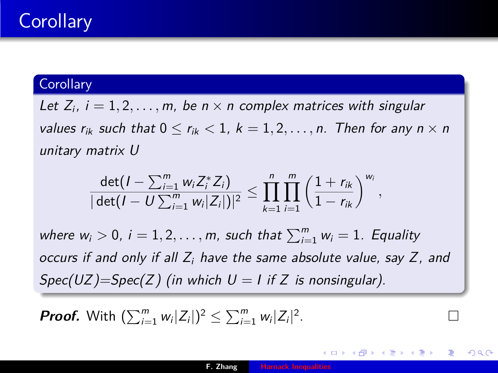## **Corollary**

#### **Corollary**

Let  $Z_i$ ,  $i = 1, 2, \ldots, m$ , be  $n \times n$  complex matrices with singular values  $r_{ik}$  such that  $0 \le r_{ik} \le 1$ ,  $k = 1, 2, \ldots, n$ . Then for any  $n \times n$ unitary matrix U

$$
\frac{\det(I-\sum_{i=1}^m w_iZ_i^*Z_i)}{|\det(I-U\sum_{i=1}^m w_i|Z_i|)|^2}\leq \prod_{k=1}^n\prod_{i=1}^m\left(\frac{1+r_{ik}}{1-r_{ik}}\right)^{w_i},
$$

where  $w_i > 0$ ,  $i = 1, 2, \ldots, m$ , such that  $\sum_{i=1}^{m} w_i = 1$ . Equality occurs if and only if all  $Z_i$  have the same absolute value, say  $Z_i$ , and  $Spec(UZ)=Spec(Z)$  (in which  $U = I$  if Z is nonsingular).

**Proof.** With  $(\sum_{i=1}^m w_i |Z_i|)^2 \leq \sum_{i=1}^m w_i |Z_i|^2$ . — Процессиональные производствование и производствование и производствование и производствование и производс<br>В 1990 году в 1990 году в 1990 году в 1990 году в 1990 году в 1990 году в 1990 году в 1990 году в 1990 году в<br>

つくへ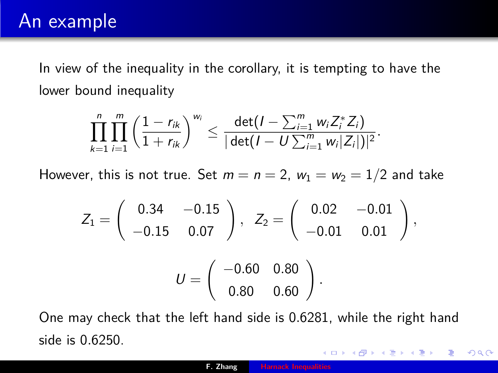In view of the inequality in the corollary, it is tempting to have the lower bound inequality

$$
\prod_{k=1}^n \prod_{i=1}^m \left(\frac{1-r_{ik}}{1+r_{ik}}\right)^{w_i} \leq \frac{\det(I-\sum_{i=1}^m w_i Z_i^* Z_i)}{|\det(I-U\sum_{i=1}^m w_i |Z_i|)|^2}.
$$

However, this is not true. Set  $m = n = 2$ ,  $w_1 = w_2 = 1/2$  and take

$$
Z_1=\left(\begin{array}{cc}0.34 & -0.15\\-0.15 & 0.07\end{array}\right),\ \ Z_2=\left(\begin{array}{cc}0.02 & -0.01\\-0.01 & 0.01\end{array}\right),\\[3mm] U=\left(\begin{array}{cc}-0.60 & 0.80\\0.80 & 0.60\end{array}\right).
$$

One may check that the left hand side is 0*.*6281, while the right hand side is 0*.*6250.

 $2Q$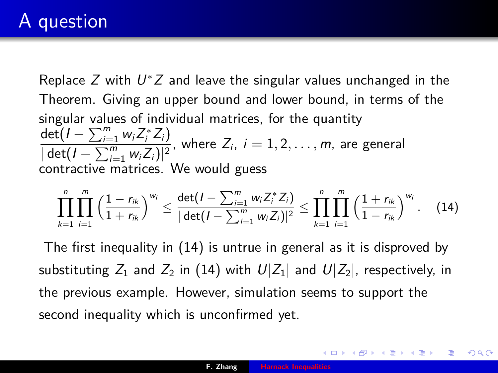## A question

Replace  $Z$  with  $U^*Z$  and leave the singular values unchanged in the Theorem. Giving an upper bound and lower bound, in terms of the singular values of individual matrices, for the quantity  $\det(I - \sum_{i=1}^m w_i Z_i^* Z_i)$  $\sqrt{\frac{2a_1^2 + 2a_2^2 + 4a_3^2}{\left|\det(I - \sum_{i=1}^n w_i Z_i)\right|^2}}$ , where  $Z_i$ ,  $i = 1, 2, ..., m$ , are general contractive matrices. We would guess

$$
\prod_{k=1}^n \prod_{i=1}^m \left(\frac{1-r_{ik}}{1+r_{ik}}\right)^{w_i} \leq \frac{\det(I-\sum_{i=1}^m w_i Z_i^* Z_i)}{|\det(I-\sum_{i=1}^m w_i Z_i)|^2} \leq \prod_{k=1}^n \prod_{i=1}^m \left(\frac{1+r_{ik}}{1-r_{ik}}\right)^{w_i}.
$$
 (14)

The first inequality in (14) is untrue in general as it is disproved by substituting  $Z_1$  and  $Z_2$  in (14) with  $U|Z_1|$  and  $U|Z_2|$ , respectively, in the previous example. However, simulation seems to support the second inequality which is unconfirmed yet.

∢ ロ ▶ ( 何 ▶ ( 毛 ▶ ( 毛 ▶ ) 。

つくへ